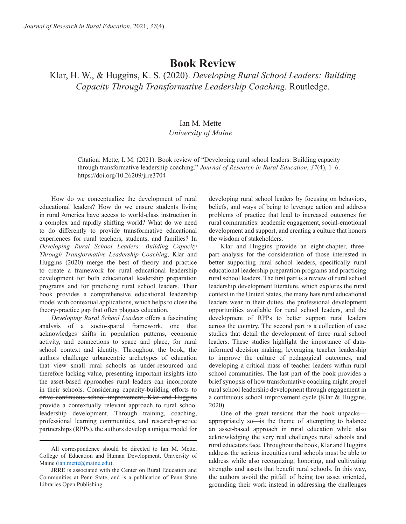## **Book Review**

Klar, H. W., & Huggins, K. S. (2020). *Developing Rural School Leaders: Building Capacity Through Transformative Leadership Coaching.* Routledge.

## Ian M. Mette *University of Maine*

Citation: Mette, I. M. (2021). Book review of "Developing rural school leaders: Building capacity through transformative leadership coaching." *Journal of Research in Rural Education*, *37*(4), 1–6. https://doi.org/10.26209/jrre3704

How do we conceptualize the development of rural educational leaders? How do we ensure students living in rural America have access to world-class instruction in a complex and rapidly shifting world? What do we need to do differently to provide transformative educational experiences for rural teachers, students, and families? In *Developing Rural School Leaders: Building Capacity Through Transformative Leadership Coaching*, Klar and Huggins (2020) merge the best of theory and practice to create a framework for rural educational leadership development for both educational leadership preparation programs and for practicing rural school leaders. Their book provides a comprehensive educational leadership model with contextual applications, which helps to close the theory-practice gap that often plagues education.

*Developing Rural School Leaders* offers a fascinating analysis of a socio-spatial framework, one that acknowledges shifts in population patterns, economic activity, and connections to space and place, for rural school context and identity. Throughout the book, the authors challenge urbancentric archetypes of education that view small rural schools as under-resourced and therefore lacking value, presenting important insights into the asset-based approaches rural leaders can incorporate in their schools. Considering capacity-building efforts to drive continuous school improvement, Klar and Huggins provide a contextually relevant approach to rural school leadership development. Through training, coaching, professional learning communities, and research-practice partnerships (RPPs), the authors develop a unique model for

developing rural school leaders by focusing on behaviors, beliefs, and ways of being to leverage action and address problems of practice that lead to increased outcomes for rural communities: academic engagement, social-emotional development and support, and creating a culture that honors the wisdom of stakeholders.

Klar and Huggins provide an eight-chapter, threepart analysis for the consideration of those interested in better supporting rural school leaders, specifically rural educational leadership preparation programs and practicing rural school leaders. The first part is a review of rural school leadership development literature, which explores the rural context in the United States, the many hats rural educational leaders wear in their duties, the professional development opportunities available for rural school leaders, and the development of RPPs to better support rural leaders across the country. The second part is a collection of case studies that detail the development of three rural school leaders. These studies highlight the importance of datainformed decision making, leveraging teacher leadership to improve the culture of pedagogical outcomes, and developing a critical mass of teacher leaders within rural school communities. The last part of the book provides a brief synopsis of how transformative coaching might propel rural school leadership development through engagement in a continuous school improvement cycle (Klar & Huggins, 2020).

One of the great tensions that the book unpacks appropriately so—is the theme of attempting to balance an asset-based approach in rural education while also acknowledging the very real challenges rural schools and rural educators face. Throughout the book, Klar and Huggins address the serious inequities rural schools must be able to address while also recognizing, honoring, and cultivating strengths and assets that benefit rural schools. In this way, the authors avoid the pitfall of being too asset oriented, grounding their work instead in addressing the challenges

All correspondence should be directed to Ian M. Mette, College of Education and Human Development, University of Maine (ian.mette@maine.edu).

JRRE is associated with the Center on Rural Education and Communities at Penn State, and is a publication of Penn State Libraries Open Publishing.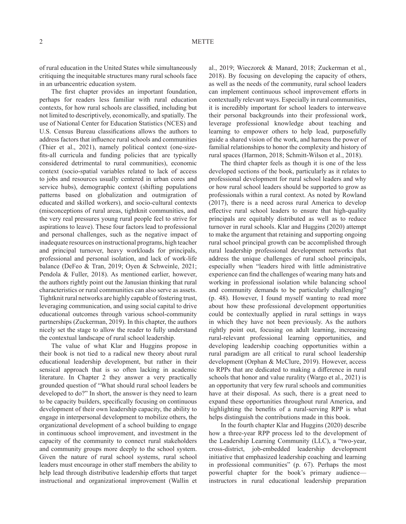of rural education in the United States while simultaneously critiquing the inequitable structures many rural schools face in an urbancentric education system.

The first chapter provides an important foundation, perhaps for readers less familiar with rural education contexts, for how rural schools are classified, including but not limited to descriptively, economically, and spatially. The use of National Center for Education Statistics (NCES) and U.S. Census Bureau classifications allows the authors to address factors that influence rural schools and communities (Thier et al., 2021), namely political context (one-sizefits-all curricula and funding policies that are typically considered detrimental to rural communities), economic context (socio-spatial variables related to lack of access to jobs and resources usually centered in urban cores and service hubs), demographic context (shifting populations patterns based on globalization and outmigration of educated and skilled workers), and socio-cultural contexts (misconceptions of rural areas, tightknit communities, and the very real pressures young rural people feel to strive for aspirations to leave). These four factors lead to professional and personal challenges, such as the negative impact of inadequate resources on instructional programs, high teacher and principal turnover, heavy workloads for principals, professional and personal isolation, and lack of work-life balance (DeFeo & Tran, 2019; Oyen & Schweinle, 2021; Pendola & Fuller, 2018). As mentioned earlier, however, the authors rightly point out the Janusian thinking that rural characteristics or rural communities can also serve as assets. Tightknit rural networks are highly capable of fostering trust, leveraging communication, and using social capital to drive educational outcomes through various school-community partnerships (Zuckerman, 2019). In this chapter, the authors nicely set the stage to allow the reader to fully understand the contextual landscape of rural school leadership.

The value of what Klar and Huggins propose in their book is not tied to a radical new theory about rural educational leadership development, but rather in their sensical approach that is so often lacking in academic literature. In Chapter 2 they answer a very practically grounded question of "What should rural school leaders be developed to do?" In short, the answer is they need to learn to be capacity builders, specifically focusing on continuous development of their own leadership capacity, the ability to engage in interpersonal development to mobilize others, the organizational development of a school building to engage in continuous school improvement, and investment in the capacity of the community to connect rural stakeholders and community groups more deeply to the school system. Given the nature of rural school systems, rural school leaders must encourage in other staff members the ability to help lead through distributive leadership efforts that target instructional and organizational improvement (Wallin et

al., 2019; Wieczorek & Manard, 2018; Zuckerman et al., 2018). By focusing on developing the capacity of others, as well as the needs of the community, rural school leaders can implement continuous school improvement efforts in contextually relevant ways. Especially in rural communities, it is incredibly important for school leaders to interweave their personal backgrounds into their professional work, leverage professional knowledge about teaching and learning to empower others to help lead, purposefully guide a shared vision of the work, and harness the power of familial relationships to honor the complexity and history of rural spaces (Harmon, 2018; Schmitt-Wilson et al., 2018).

The third chapter feels as though it is one of the less developed sections of the book, particularly as it relates to professional development for rural school leaders and why or how rural school leaders should be supported to grow as professionals within a rural context. As noted by Rowland (2017), there is a need across rural America to develop effective rural school leaders to ensure that high-quality principals are equitably distributed as well as to reduce turnover in rural schools. Klar and Huggins (2020) attempt to make the argument that retaining and supporting ongoing rural school principal growth can be accomplished through rural leadership professional development networks that address the unique challenges of rural school principals, especially when "leaders hired with little administrative experience can find the challenges of wearing many hats and working in professional isolation while balancing school and community demands to be particularly challenging" (p. 48). However, I found myself wanting to read more about how these professional development opportunities could be contextually applied in rural settings in ways in which they have not been previously. As the authors rightly point out, focusing on adult learning, increasing rural-relevant professional learning opportunities, and developing leadership coaching opportunities within a rural paradigm are all critical to rural school leadership development (Orphan & McClure, 2019). However, access to RPPs that are dedicated to making a difference in rural schools that honor and value rurality (Wargo et al., 2021) is an opportunity that very few rural schools and communities have at their disposal. As such, there is a great need to expand these opportunities throughout rural America, and highlighting the benefits of a rural-serving RPP is what helps distinguish the contributions made in this book.

In the fourth chapter Klar and Huggins (2020) describe how a three-year RPP process led to the development of the Leadership Learning Community (LLC), a "two-year, cross-district, job-embedded leadership development initiative that emphasized leadership coaching and learning in professional communities" (p. 67). Perhaps the most powerful chapter for the book's primary audience instructors in rural educational leadership preparation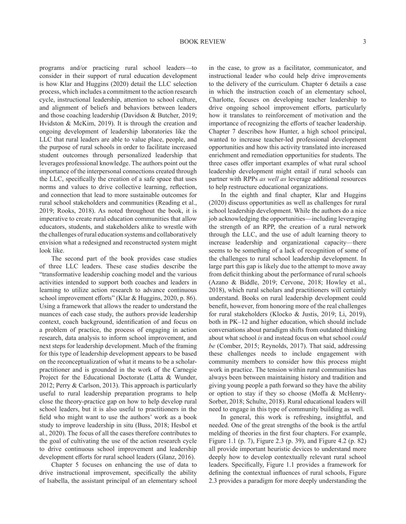programs and/or practicing rural school leaders—to consider in their support of rural education development is how Klar and Huggins (2020) detail the LLC selection process, which includes a commitment to the action research cycle, instructional leadership, attention to school culture, and alignment of beliefs and behaviors between leaders and those coaching leadership (Davidson & Butcher, 2019; Hvidston & McKim, 2019). It is through the creation and ongoing development of leadership laboratories like the LLC that rural leaders are able to value place, people, and the purpose of rural schools in order to facilitate increased student outcomes through personalized leadership that leverages professional knowledge. The authors point out the importance of the interpersonal connections created through the LLC, specifically the creation of a safe space that uses norms and values to drive collective learning, reflection, and connection that lead to more sustainable outcomes for rural school stakeholders and communities (Reading et al., 2019; Rooks, 2018). As noted throughout the book, it is imperative to create rural education communities that allow educators, students, and stakeholders alike to wrestle with the challenges of rural education systems and collaboratively envision what a redesigned and reconstructed system might look like.

The second part of the book provides case studies of three LLC leaders. These case studies describe the "transformative leadership coaching model and the various activities intended to support both coaches and leaders in learning to utilize action research to advance continuous school improvement efforts" (Klar & Huggins, 2020, p. 86). Using a framework that allows the reader to understand the nuances of each case study, the authors provide leadership context, coach background, identification of and focus on a problem of practice, the process of engaging in action research, data analysis to inform school improvement, and next steps for leadership development. Much of the framing for this type of leadership development appears to be based on the reconceptualization of what it means to be a scholarpractitioner and is grounded in the work of the Carnegie Project for the Educational Doctorate (Latta & Wunder, 2012; Perry & Carlson, 2013). This approach is particularly useful to rural leadership preparation programs to help close the theory-practice gap on how to help develop rural school leaders, but it is also useful to practitioners in the field who might want to use the authors' work as a book study to improve leadership in situ (Buss, 2018; Hesbol et al., 2020). The focus of all the cases therefore contributes to the goal of cultivating the use of the action research cycle to drive continuous school improvement and leadership development efforts for rural school leaders (Glanz, 2016).

Chapter 5 focuses on enhancing the use of data to drive instructional improvement, specifically the ability of Isabella, the assistant principal of an elementary school in the case, to grow as a facilitator, communicator, and instructional leader who could help drive improvements to the delivery of the curriculum. Chapter 6 details a case in which the instruction coach of an elementary school, Charlotte, focuses on developing teacher leadership to drive ongoing school improvement efforts, particularly how it translates to reinforcement of motivation and the importance of recognizing the efforts of teacher leadership. Chapter 7 describes how Hunter, a high school principal, wanted to increase teacher-led professional development opportunities and how this activity translated into increased enrichment and remediation opportunities for students. The three cases offer important examples of what rural school leadership development might entail if rural schools can partner with RPPs *as well as* leverage additional resources to help restructure educational organizations.

In the eighth and final chapter, Klar and Huggins (2020) discuss opportunities as well as challenges for rural school leadership development. While the authors do a nice job acknowledging the opportunities—including leveraging the strength of an RPP, the creation of a rural network through the LLC, and the use of adult learning theory to increase leadership and organizational capacity—there seems to be something of a lack of recognition of some of the challenges to rural school leadership development. In large part this gap is likely due to the attempt to move away from deficit thinking about the performance of rural schools (Azano & Biddle, 2019; Cervone, 2018; Howley et al., 2018), which rural scholars and practitioners will certainly understand. Books on rural leadership development could benefit, however, from honoring more of the real challenges for rural stakeholders (Klocko & Justis, 2019; Li, 2019), both in PK–12 and higher education, which should include conversations about paradigm shifts from outdated thinking about what school *is* and instead focus on what school *could be* (Comber, 2015; Reynolds, 2017). That said, addressing these challenges needs to include engagement with community members to consider how this process might work in practice. The tension within rural communities has always been between maintaining history and tradition and giving young people a path forward so they have the ability or option to stay if they so choose (Moffa & McHenry-Sorber, 2018; Schulte, 2018). Rural educational leaders will need to engage in this type of community building as well.

In general, this work is refreshing, insightful, and needed. One of the great strengths of the book is the artful melding of theories in the first four chapters. For example, Figure 1.1 (p. 7), Figure 2.3 (p. 39), and Figure 4.2 (p. 82) all provide important heuristic devices to understand more deeply how to develop contextually relevant rural school leaders. Specifically, Figure 1.1 provides a framework for defining the contextual influences of rural schools, Figure 2.3 provides a paradigm for more deeply understanding the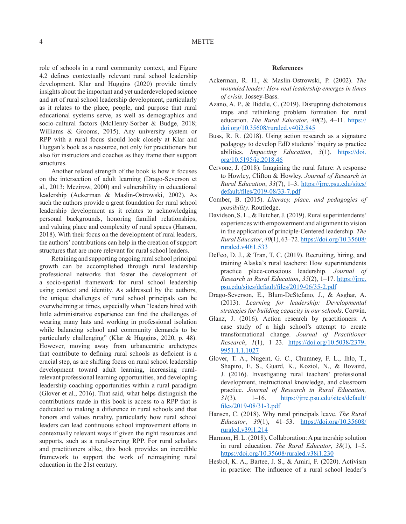role of schools in a rural community context, and Figure 4.2 defines contextually relevant rural school leadership development. Klar and Huggins (2020) provide timely insights about the important and yet underdeveloped science and art of rural school leadership development, particularly as it relates to the place, people, and purpose that rural educational systems serve, as well as demographics and socio-cultural factors (McHenry-Sorber & Budge, 2018; Williams & Grooms, 2015). Any university system or RPP with a rural focus should look closely at Klar and Huggan's book as a resource, not only for practitioners but also for instructors and coaches as they frame their support structures.

Another related strength of the book is how it focuses on the intersection of adult learning (Drago-Severson et al., 2013; Mezirow, 2000) and vulnerability in educational leadership (Ackerman & Maslin-Ostrowski, 2002). As such the authors provide a great foundation for rural school leadership development as it relates to acknowledging personal backgrounds, honoring familial relationships, and valuing place and complexity of rural spaces (Hansen, 2018). With their focus on the development of rural leaders, the authors' contributions can help in the creation of support structures that are more relevant for rural school leaders.

Retaining and supporting ongoing rural school principal growth can be accomplished through rural leadership professional networks that foster the development of a socio-spatial framework for rural school leadership using context and identity. As addressed by the authors, the unique challenges of rural school principals can be overwhelming at times, especially when "leaders hired with little administrative experience can find the challenges of wearing many hats and working in professional isolation while balancing school and community demands to be particularly challenging" (Klar & Huggins, 2020, p. 48). However, moving away from urbancentric archetypes that contribute to defining rural schools as deficient is a crucial step, as are shifting focus on rural school leadership development toward adult learning, increasing ruralrelevant professional learning opportunities, and developing leadership coaching opportunities within a rural paradigm (Glover et al., 2016). That said, what helps distinguish the contributions made in this book is access to a RPP that is dedicated to making a difference in rural schools and that honors and values rurality, particularly how rural school leaders can lead continuous school improvement efforts in contextually relevant ways if given the right resources and supports, such as a rural-serving RPP. For rural scholars and practitioners alike, this book provides an incredible framework to support the work of reimagining rural education in the 21st century.

## **References**

- Ackerman, R. H., & Maslin-Ostrowski, P. (2002). *The wounded leader: How real leadership emerges in times of crisis*. Jossey-Bass.
- Azano, A. P., & Biddle, C. (2019). Disrupting dichotomous traps and rethinking problem formation for rural education. *The Rural Educator*, 40(2), 4–11. https:// doi.org/10.35608/ruraled.v40i2.845
- Buss, R. R. (2018). Using action research as a signature pedagogy to develop EdD students' inquiry as practice abilities. *Impacting Education*, 3(1). https://doi. org/10.5195/ie.2018.46
- Cervone, J. (2018). Imagining the rural future: A response to Howley, Clifton & Howley. *Journal of Research in Rural Education*, *33*(7), 1–3. https://jrre.psu.edu/sites/ default/files/2019-08/33-7.pdf
- Comber, B. (2015). *Literacy, place, and pedagogies of possibility*. Routledge.
- Davidson, S. L., & Butcher, J. (2019). Rural superintendents' experiences with empowerment and alignment to vision in the application of principle-Centered leadership. *The Rural Educator*, *40*(1), 63–72. https://doi.org/10.35608/ ruraled.v40i1.533
- DeFeo, D. J., & Tran, T. C. (2019). Recruiting, hiring, and training Alaska's rural teachers: How superintendents practice place-conscious leadership. *Journal of Research in Rural Education*, *35*(2), 1–17. https://jrre. psu.edu/sites/default/files/2019-06/35-2.pdf
- Drago-Severson, E., Blum-DeStefano, J., & Asghar, A. (2013). *Learning for leadership: Developmental strategies for building capacity in our schools*. Corwin.
- Glanz, J. (2016). Action research by practitioners: A case study of a high school's attempt to create transformational change. *Journal of Practitioner Research*, *1*(1), 1–23. https://doi.org/10.5038/2379- 9951.1.1.1027
- Glover, T. A., Nugent, G. C., Chumney, F. L., Ihlo, T., Shapiro, E. S., Guard, K., Koziol, N., & Bovaird, J. (2016). Investigating rural teachers' professional development, instructional knowledge, and classroom practice. *Journal of Research in Rural Education, 31*(3), 1–16. https://jrre.psu.edu/sites/default/ files/2019-08/31-3.pdf
- Hansen, C. (2018). Why rural principals leave. *The Rural Educator*, *39*(1), 41–53. https://doi.org/10.35608/ ruraled.v39i1.214
- Harmon, H. L. (2018). Collaboration: A partnership solution in rural education. *The Rural Educator*, *38*(1), 1–5. https://doi.org/10.35608/ruraled.v38i1.230
- Hesbol, K. A., Bartee, J. S., & Amiri, F. (2020). Activism in practice: The influence of a rural school leader's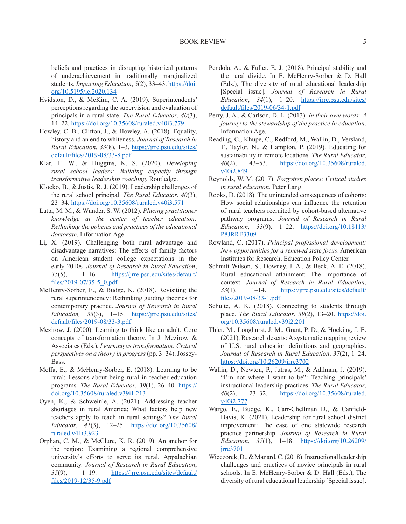beliefs and practices in disrupting historical patterns of underachievement in traditionally marginalized students. *Impacting Education*, *5*(2), 33–43. https://doi. org/10.5195/ie.2020.134

- Hvidston, D., & McKim, C. A. (2019). Superintendents' perceptions regarding the supervision and evaluation of principals in a rural state. *The Rural Educator*, *40*(3), 14–22. https://doi.org/10.35608/ruraled.v40i3.779
- Howley, C. B., Clifton, J., & Howley, A. (2018). Equality, history and an end to whiteness. *Journal of Research in Rural Education*, *33*(8), 1–3. https://jrre.psu.edu/sites/ default/files/2019-08/33-8.pdf
- Klar, H. W., & Huggins, K. S. (2020). *Developing rural school leaders: Building capacity through transformative leadership coaching*. Routledge.
- Klocko, B., & Justis, R. J. (2019). Leadership challenges of the rural school principal. *The Rural Educator*, *40*(3), 23–34. https://doi.org/10.35608/ruraled.v40i3.571
- Latta, M. M., & Wunder, S. W. (2012). *Placing practitioner knowledge at the center of teacher education: Rethinking the policies and practices of the educational doctorate*. Information Age.
- Li, X. (2019). Challenging both rural advantage and disadvantage narratives: The effects of family factors on American student college expectations in the early 2010s*. Journal of Research in Rural Education*, *35*(5), 1–16. https://jrre.psu.edu/sites/default/ files/2019-07/35-5\_0.pdf
- McHenry-Sorber, E., & Budge, K. (2018). Revisiting the rural superintendency: Rethinking guiding theories for contemporary practice. *Journal of Research in Rural Education, 33*(3), 1–15. https://jrre.psu.edu/sites/ default/files/2019-08/33-3.pdf
- Mezirow, J. (2000). Learning to think like an adult. Core concepts of transformation theory. In J. Mezirow & Associates (Eds.), *Learning as transformation: Critical perspectives on a theory in progress* (pp. 3–34). Jossey-Bass.
- Moffa, E., & McHenry-Sorber, E. (2018). Learning to be rural: Lessons about being rural in teacher education programs. *The Rural Educator*, *39*(1), 26–40. https:// doi.org/10.35608/ruraled.v39i1.213
- Oyen, K., & Schweinle, A. (2021). Addressing teacher shortages in rural America: What factors help new teachers apply to teach in rural settings? *The Rural Educator*, *41*(3), 12–25. https://doi.org/10.35608/ ruraled.v41i3.923
- Orphan, C. M., & McClure, K. R. (2019). An anchor for the region: Examining a regional comprehensive university's efforts to serve its rural, Appalachian community. *Journal of Research in Rural Education*, *35*(9), 1–19. https://jrre.psu.edu/sites/default/ files/2019-12/35-9.pdf
- Pendola, A., & Fuller, E. J. (2018). Principal stability and the rural divide. In E. McHenry-Sorber & D. Hall (Eds.), The diversity of rural educational leadership [Special issue]. *Journal of Research in Rural Education*, *34*(1), 1–20. https://jrre.psu.edu/sites/ default/files/2019-06/34-1.pdf
- Perry, J. A., & Carlson, D. L. (2013). *In their own words: A journey to the stewardship of the practice in education*. Information Age.
- Reading, C., Khupe, C., Redford, M., Wallin, D., Versland, T., Taylor, N., & Hampton, P. (2019). Educating for sustainability in remote locations. *The Rural Educator*, *40*(2), 43–53. https://doi.org/10.35608/ruraled. v40i2.849
- Reynolds, W. M. (2017). *Forgotten places: Critical studies in rural education*. Peter Lang.
- Rooks, D. (2018). The unintended consequences of cohorts: How social relationships can influence the retention of rural teachers recruited by cohort-based alternative pathway programs. *Journal of Research in Rural Education, 33*(9), 1–22. https://doi.org/10.18113/ P8JRRE3309
- Rowland, C. (2017). *Principal professional development: New opportunities for a renewed state focus*. American Institutes for Research, Education Policy Center.
- Schmitt-Wilson, S., Downey, J. A., & Beck, A. E. (2018). Rural educational attainment: The importance of context. *Journal of Research in Rural Education*, *33*(1), 1–14. https://jrre.psu.edu/sites/default/ files/2019-08/33-1.pdf
- Schulte, A. K. (2018). Connecting to students through place. *The Rural Educator*, *39*(2), 13–20. https://doi. org/10.35608/ruraled.v39i2.201
- Thier, M., Longhurst, J. M., Grant, P. D., & Hocking, J. E. (2021). Research deserts: A systematic mapping review of U.S. rural education definitions and geographies. *Journal of Research in Rural Education*, *37*(2), 1–24. https://doi.org/10.26209/jrre3702
- Wallin, D., Newton, P., Jutras, M., & Adilman, J. (2019). "I'm not where I want to be": Teaching principals' instructional leadership practices. *The Rural Educator*, *40*(2), 23–32. https://doi.org/10.35608/ruraled. v40i2.777
- Wargo, E., Budge, K., Carr-Chellman D., & Canfield-Davis, K. (2021). Leadership for rural school district improvement: The case of one statewide research practice partnership. *Journal of Research in Rural Education*, *37*(1), 1–18. https://doi.org/10.26209/ jrre3701
- Wieczorek, D., & Manard, C. (2018). Instructional leadership challenges and practices of novice principals in rural schools. In E. McHenry-Sorber & D. Hall (Eds.), The diversity of rural educational leadership [Special issue].